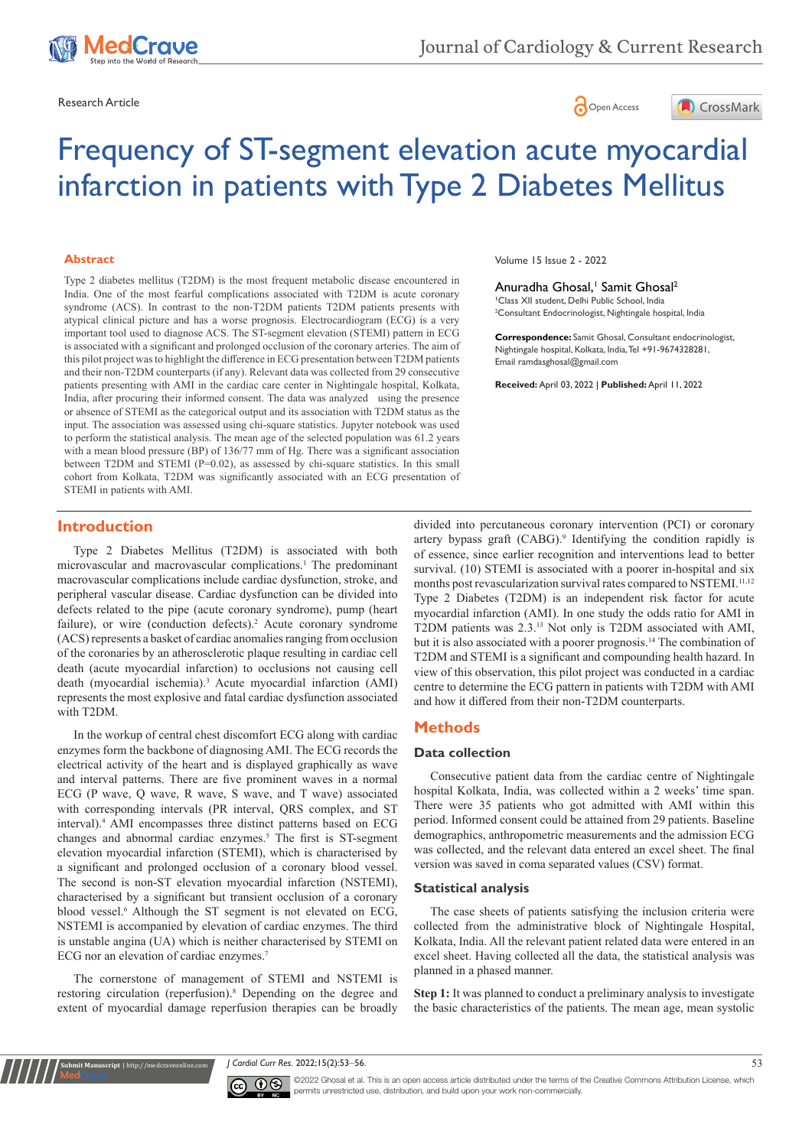





# Frequency of ST-segment elevation acute myocardial infarction in patients with Type 2 Diabetes Mellitus

#### **Abstract**

Type 2 diabetes mellitus (T2DM) is the most frequent metabolic disease encountered in India. One of the most fearful complications associated with T2DM is acute coronary syndrome (ACS). In contrast to the non-T2DM patients T2DM patients presents with atypical clinical picture and has a worse prognosis. Electrocardiogram (ECG) is a very important tool used to diagnose ACS. The ST-segment elevation (STEMI) pattern in ECG is associated with a significant and prolonged occlusion of the coronary arteries. The aim of this pilot project was to highlight the difference in ECG presentation between T2DM patients and their non-T2DM counterparts (if any). Relevant data was collected from 29 consecutive patients presenting with AMI in the cardiac care center in Nightingale hospital, Kolkata, India, after procuring their informed consent. The data was analyzed using the presence or absence of STEMI as the categorical output and its association with T2DM status as the input. The association was assessed using chi-square statistics. Jupyter notebook was used to perform the statistical analysis. The mean age of the selected population was 61.2 years with a mean blood pressure (BP) of 136/77 mm of Hg. There was a significant association between T2DM and STEMI (P=0.02), as assessed by chi-square statistics. In this small cohort from Kolkata, T2DM was significantly associated with an ECG presentation of STEMI in patients with AMI.

Volume 15 Issue 2 - 2022

Anuradha Ghosal,<sup>1</sup> Samit Ghosal<sup>2</sup> **1** Class XII student, Delhi Public School, India 2 Consultant Endocrinologist, Nightingale hospital, India

**Correspondence:** Samit Ghosal, Consultant endocrinologist, Nightingale hospital, Kolkata, India, Tel +91-9674328281, Email ramdasghosal@gmail.com

**Received:** April 03, 2022 | **Published:** April 11, 2022

# **Introduction**

Type 2 Diabetes Mellitus (T2DM) is associated with both microvascular and macrovascular complications.<sup>1</sup> The predominant macrovascular complications include cardiac dysfunction, stroke, and peripheral vascular disease. Cardiac dysfunction can be divided into defects related to the pipe (acute coronary syndrome), pump (heart failure), or wire (conduction defects).<sup>2</sup> Acute coronary syndrome (ACS) represents a basket of cardiac anomalies ranging from occlusion of the coronaries by an atherosclerotic plaque resulting in cardiac cell death (acute myocardial infarction) to occlusions not causing cell death (myocardial ischemia).3 Acute myocardial infarction (AMI) represents the most explosive and fatal cardiac dysfunction associated with T2DM.

In the workup of central chest discomfort ECG along with cardiac enzymes form the backbone of diagnosing AMI. The ECG records the electrical activity of the heart and is displayed graphically as wave and interval patterns. There are five prominent waves in a normal ECG (P wave, Q wave, R wave, S wave, and T wave) associated with corresponding intervals (PR interval, QRS complex, and ST interval).4 AMI encompasses three distinct patterns based on ECG changes and abnormal cardiac enzymes.<sup>5</sup> The first is ST-segment elevation myocardial infarction (STEMI), which is characterised by a significant and prolonged occlusion of a coronary blood vessel. The second is non-ST elevation myocardial infarction (NSTEMI), characterised by a significant but transient occlusion of a coronary blood vessel.6 Although the ST segment is not elevated on ECG, NSTEMI is accompanied by elevation of cardiac enzymes. The third is unstable angina (UA) which is neither characterised by STEMI on ECG nor an elevation of cardiac enzymes.7

The cornerstone of management of STEMI and NSTEMI is restoring circulation (reperfusion).8 Depending on the degree and extent of myocardial damage reperfusion therapies can be broadly

**it Manuscript** | http://medcraveonline.

divided into percutaneous coronary intervention (PCI) or coronary artery bypass graft (CABG).<sup>9</sup> Identifying the condition rapidly is of essence, since earlier recognition and interventions lead to better survival. (10) STEMI is associated with a poorer in-hospital and six months post revascularization survival rates compared to NSTEMI.<sup>11,12</sup> Type 2 Diabetes (T2DM) is an independent risk factor for acute myocardial infarction (AMI). In one study the odds ratio for AMI in T2DM patients was 2.3.13 Not only is T2DM associated with AMI, but it is also associated with a poorer prognosis.<sup>14</sup> The combination of T2DM and STEMI is a significant and compounding health hazard. In view of this observation, this pilot project was conducted in a cardiac centre to determine the ECG pattern in patients with T2DM with AMI and how it differed from their non-T2DM counterparts.

# **Methods**

#### **Data collection**

Consecutive patient data from the cardiac centre of Nightingale hospital Kolkata, India, was collected within a 2 weeks' time span. There were 35 patients who got admitted with AMI within this period. Informed consent could be attained from 29 patients. Baseline demographics, anthropometric measurements and the admission ECG was collected, and the relevant data entered an excel sheet. The final version was saved in coma separated values (CSV) format.

#### **Statistical analysis**

The case sheets of patients satisfying the inclusion criteria were collected from the administrative block of Nightingale Hospital, Kolkata, India. All the relevant patient related data were entered in an excel sheet. Having collected all the data, the statistical analysis was planned in a phased manner.

**Step 1:** It was planned to conduct a preliminary analysis to investigate the basic characteristics of the patients. The mean age, mean systolic

*J Cardiol Curr Res.* 2022;15(2):53‒56. 53



©2022 Ghosal et al. This is an open access article distributed under the terms of the Creative Commons Attribution License, which permits unrestricted use, distribution, and build upon your work non-commercially.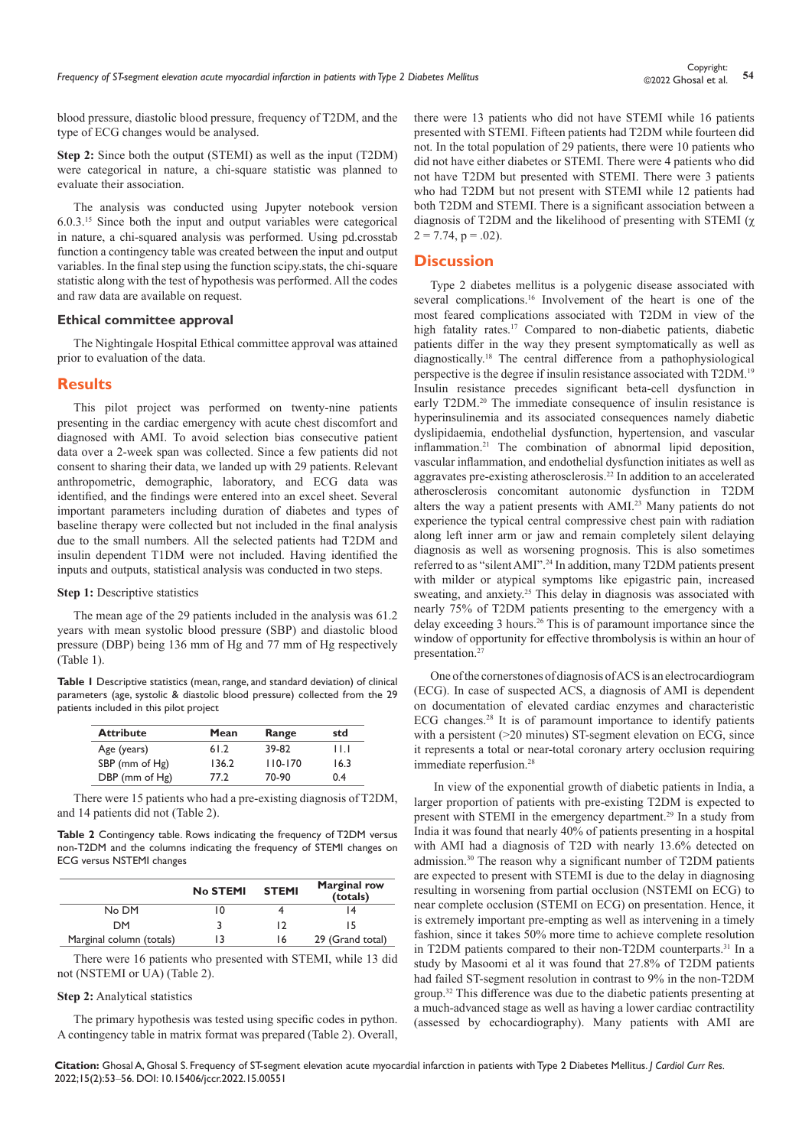blood pressure, diastolic blood pressure, frequency of T2DM, and the type of ECG changes would be analysed.

**Step 2:** Since both the output (STEMI) as well as the input (T2DM) were categorical in nature, a chi-square statistic was planned to evaluate their association.

The analysis was conducted using Jupyter notebook version 6.0.3.15 Since both the input and output variables were categorical in nature, a chi-squared analysis was performed. Using pd.crosstab function a contingency table was created between the input and output variables. In the final step using the function scipy.stats, the chi-square statistic along with the test of hypothesis was performed. All the codes and raw data are available on request.

#### **Ethical committee approval**

The Nightingale Hospital Ethical committee approval was attained prior to evaluation of the data.

### **Results**

This pilot project was performed on twenty-nine patients presenting in the cardiac emergency with acute chest discomfort and diagnosed with AMI. To avoid selection bias consecutive patient data over a 2-week span was collected. Since a few patients did not consent to sharing their data, we landed up with 29 patients. Relevant anthropometric, demographic, laboratory, and ECG data was identified, and the findings were entered into an excel sheet. Several important parameters including duration of diabetes and types of baseline therapy were collected but not included in the final analysis due to the small numbers. All the selected patients had T2DM and insulin dependent T1DM were not included. Having identified the inputs and outputs, statistical analysis was conducted in two steps.

#### **Step 1:** Descriptive statistics

The mean age of the 29 patients included in the analysis was 61.2 years with mean systolic blood pressure (SBP) and diastolic blood pressure (DBP) being 136 mm of Hg and 77 mm of Hg respectively (Table 1).

**Table 1** Descriptive statistics (mean, range, and standard deviation) of clinical parameters (age, systolic & diastolic blood pressure) collected from the 29 patients included in this pilot project

| <b>Attribute</b> | Mean  | Range       | std  |
|------------------|-------|-------------|------|
| Age (years)      | 61.2  | 39-82       | ШJ   |
| SBP (mm of Hg)   | 136.2 | $110 - 170$ | 16.3 |
| DBP (mm of Hg)   | 77.2  | 70-90       | 0.4  |

There were 15 patients who had a pre-existing diagnosis of T2DM, and 14 patients did not (Table 2).

**Table 2** Contingency table. Rows indicating the frequency of T2DM versus non-T2DM and the columns indicating the frequency of STEMI changes on ECG versus NSTEMI changes

|                          | No STEMI | <b>STEMI</b> | <b>Marginal row</b><br>(totals) |
|--------------------------|----------|--------------|---------------------------------|
| No DM                    | 10       |              |                                 |
| <b>DM</b>                |          |              |                                 |
| Marginal column (totals) |          | 16           | 29 (Grand total)                |

There were 16 patients who presented with STEMI, while 13 did not (NSTEMI or UA) (Table 2).

#### **Step 2:** Analytical statistics

The primary hypothesis was tested using specific codes in python. A contingency table in matrix format was prepared (Table 2). Overall, there were 13 patients who did not have STEMI while 16 patients presented with STEMI. Fifteen patients had T2DM while fourteen did not. In the total population of 29 patients, there were 10 patients who did not have either diabetes or STEMI. There were 4 patients who did not have T2DM but presented with STEMI. There were 3 patients who had T2DM but not present with STEMI while 12 patients had both T2DM and STEMI. There is a significant association between a diagnosis of T2DM and the likelihood of presenting with STEMI (χ  $2 = 7.74$ ,  $p = .02$ ).

# **Discussion**

Type 2 diabetes mellitus is a polygenic disease associated with several complications.<sup>16</sup> Involvement of the heart is one of the most feared complications associated with T2DM in view of the high fatality rates.<sup>17</sup> Compared to non-diabetic patients, diabetic patients differ in the way they present symptomatically as well as diagnostically.18 The central difference from a pathophysiological perspective is the degree if insulin resistance associated with T2DM.19 Insulin resistance precedes significant beta-cell dysfunction in early T2DM.<sup>20</sup> The immediate consequence of insulin resistance is hyperinsulinemia and its associated consequences namely diabetic dyslipidaemia, endothelial dysfunction, hypertension, and vascular inflammation.21 The combination of abnormal lipid deposition, vascular inflammation, and endothelial dysfunction initiates as well as aggravates pre-existing atherosclerosis.22 In addition to an accelerated atherosclerosis concomitant autonomic dysfunction in T2DM alters the way a patient presents with AMI.23 Many patients do not experience the typical central compressive chest pain with radiation along left inner arm or jaw and remain completely silent delaying diagnosis as well as worsening prognosis. This is also sometimes referred to as "silent AMI".24 In addition, many T2DM patients present with milder or atypical symptoms like epigastric pain, increased sweating, and anxiety.<sup>25</sup> This delay in diagnosis was associated with nearly 75% of T2DM patients presenting to the emergency with a delay exceeding 3 hours.26 This is of paramount importance since the window of opportunity for effective thrombolysis is within an hour of presentation.<sup>27</sup>

One of the cornerstones of diagnosis of ACS is an electrocardiogram (ECG). In case of suspected ACS, a diagnosis of AMI is dependent on documentation of elevated cardiac enzymes and characteristic ECG changes.28 It is of paramount importance to identify patients with a persistent (>20 minutes) ST-segment elevation on ECG, since it represents a total or near-total coronary artery occlusion requiring immediate reperfusion.<sup>28</sup>

 In view of the exponential growth of diabetic patients in India, a larger proportion of patients with pre-existing T2DM is expected to present with STEMI in the emergency department.29 In a study from India it was found that nearly 40% of patients presenting in a hospital with AMI had a diagnosis of T2D with nearly 13.6% detected on admission.30 The reason why a significant number of T2DM patients are expected to present with STEMI is due to the delay in diagnosing resulting in worsening from partial occlusion (NSTEMI on ECG) to near complete occlusion (STEMI on ECG) on presentation. Hence, it is extremely important pre-empting as well as intervening in a timely fashion, since it takes 50% more time to achieve complete resolution in T2DM patients compared to their non-T2DM counterparts.31 In a study by Masoomi et al it was found that 27.8% of T2DM patients had failed ST-segment resolution in contrast to 9% in the non-T2DM group.32 This difference was due to the diabetic patients presenting at a much-advanced stage as well as having a lower cardiac contractility (assessed by echocardiography). Many patients with AMI are

**Citation:** Ghosal A, Ghosal S. Frequency of ST-segment elevation acute myocardial infarction in patients with Type 2 Diabetes Mellitus. *J Cardiol Curr Res.* 2022;15(2):53‒56. DOI: [10.15406/jccr.2022.15.00551](https://doi.org/10.15406/jccr.2022.15.00551)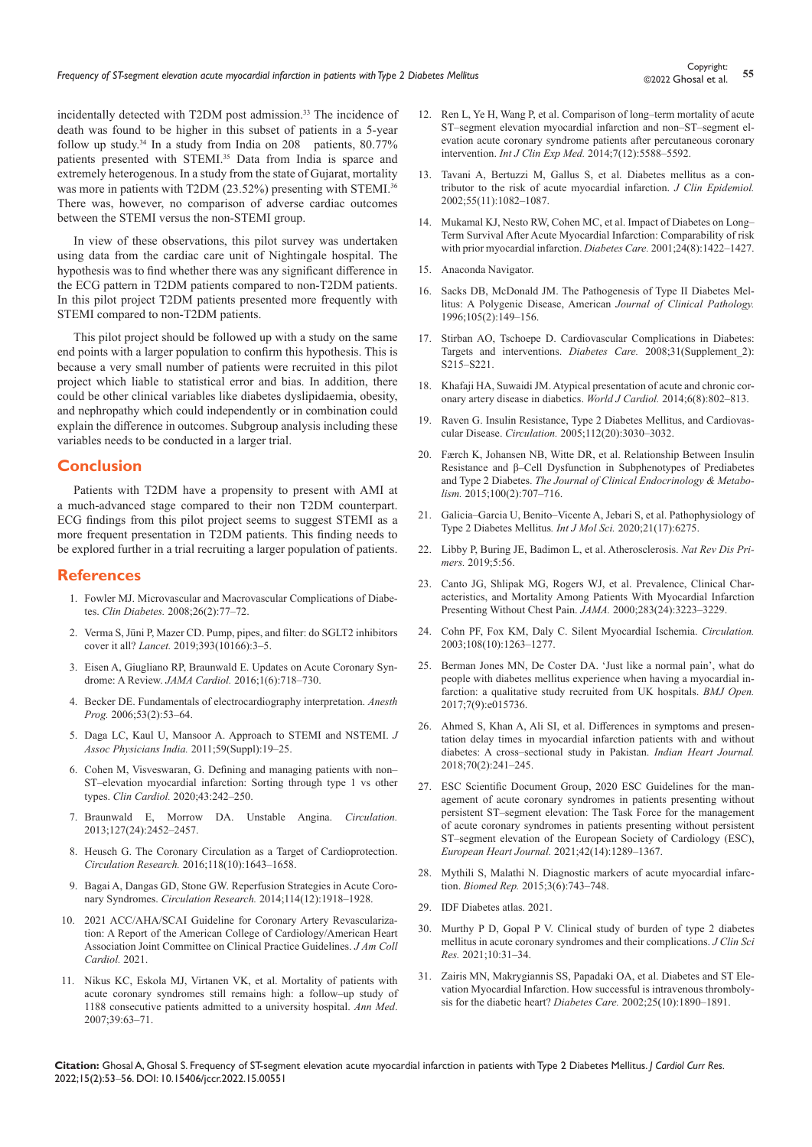incidentally detected with T2DM post admission.<sup>33</sup> The incidence of death was found to be higher in this subset of patients in a 5-year follow up study.<sup>34</sup> In a study from India on  $208$  patients,  $80.77\%$ patients presented with STEMI.35 Data from India is sparce and extremely heterogenous. In a study from the state of Gujarat, mortality was more in patients with T2DM (23.52%) presenting with STEMI.<sup>36</sup> There was, however, no comparison of adverse cardiac outcomes between the STEMI versus the non-STEMI group.

In view of these observations, this pilot survey was undertaken using data from the cardiac care unit of Nightingale hospital. The hypothesis was to find whether there was any significant difference in the ECG pattern in T2DM patients compared to non-T2DM patients. In this pilot project T2DM patients presented more frequently with STEMI compared to non-T2DM patients.

This pilot project should be followed up with a study on the same end points with a larger population to confirm this hypothesis. This is because a very small number of patients were recruited in this pilot project which liable to statistical error and bias. In addition, there could be other clinical variables like diabetes dyslipidaemia, obesity, and nephropathy which could independently or in combination could explain the difference in outcomes. Subgroup analysis including these variables needs to be conducted in a larger trial.

### **Conclusion**

Patients with T2DM have a propensity to present with AMI at a much-advanced stage compared to their non T2DM counterpart. ECG findings from this pilot project seems to suggest STEMI as a more frequent presentation in T2DM patients. This finding needs to be explored further in a trial recruiting a larger population of patients.

#### **References**

- 1. Fowler MJ. Microvascular and Macrovascular Complications of Diabetes. *Clin Diabetes.* 2008;26(2):77–72.
- 2. [Verma S, Jüni P, Mazer CD. Pump, pipes, and filter: do SGLT2 inhibitors](https://linkinghub.elsevier.com/retrieve/pii/S0140‒6736(18)32824‒1)  cover it all? *Lancet.* [2019;393\(10166\):3‒5.](https://linkinghub.elsevier.com/retrieve/pii/S0140‒6736(18)32824‒1)
- 3. [Eisen A, Giugliano RP, Braunwald E. Updates on Acute Coronary Syn](https://jamanetwork.com/journals/jamacardiology/article‒abstract/2536031)drome: A Review. *JAMA Cardiol.* [2016;1\(6\):718–730.](https://jamanetwork.com/journals/jamacardiology/article‒abstract/2536031)
- 4. [Becker DE. Fundamentals of electrocardiography interpretation.](file:///C:/Users/WEB02/Documents/JCCR-15-00551/JCCR-22-RA-792_W/1.%09https:/www.ncbi.nlm.nih.gov/labs/pmc/articles/PMC1614214/) *Anesth*  Prog. 2006;53(2):53-64.
- 5. [Daga LC, Kaul U, Mansoor A. Approach to STEMI and NSTEMI.](https://www.japi.org/u2d4b444/approach‒to‒stemi‒and‒nstemi) *J [Assoc Physicians India.](https://www.japi.org/u2d4b444/approach‒to‒stemi‒and‒nstemi)* 2011;59(Suppl):19‒25.
- 6. Cohen M, Visveswaran, G. Defining and managing patients with non-ST-elevation myocardial infarction: Sorting through type 1 vs other types. *Clin Cardiol.* [2020;43:242–250.](https://pubmed.ncbi.nlm.nih.gov/31923336/)
- 7. [Braunwald E, Morrow DA. Unstable Angina.](file:///C:/Users/WEB02/Documents/JCCR-15-00551/JCCR-22-RA-792_W/1.%09https:/www.ahajournals.org/doi/abs/10.1161/CIRCULATIONAHA.113.001258) *Circulation.* [2013;127\(24\):2452‒2457.](file:///C:/Users/WEB02/Documents/JCCR-15-00551/JCCR-22-RA-792_W/1.%09https:/www.ahajournals.org/doi/abs/10.1161/CIRCULATIONAHA.113.001258)
- 8. [Heusch G. The Coronary Circulation as a Target of Cardioprotection.](file:///C:/Users/WEB02/Documents/JCCR-15-00551/JCCR-22-RA-792_W/1.%09https:/www.ahajournals.org/doi/abs/10.1161/CIRCRESAHA.116.308640)  *Circulation Research.* [2016;118\(10\):1643‒1658.](file:///C:/Users/WEB02/Documents/JCCR-15-00551/JCCR-22-RA-792_W/1.%09https:/www.ahajournals.org/doi/abs/10.1161/CIRCRESAHA.116.308640)
- 9. [Bagai A, Dangas GD, Stone GW. Reperfusion Strategies in Acute Coro](file:///C:/Users/WEB02/Documents/JCCR-15-00551/JCCR-22-RA-792_W/1.%09https:/www.ahajournals.org/doi/abs/10.1161/CIRCRESAHA.114.302744)nary Syndromes. *Circulation Research*. 2014;114(12):1918-1928.
- 10. 2021 ACC/AHA/SCAI Guideline for Coronary Artery Revascularization: A Report of the American College of Cardiology/American Heart Association Joint Committee on Clinical Practice Guidelines. *J Am Coll Cardiol.* 2021.
- 11. [Nikus KC, Eskola MJ, Virtanen VK, et al. Mortality of patients with](file:///C:/Users/WEB02/Documents/JCCR-15-00551/JCCR-22-RA-792_W/1.%09https:/www.tandfonline.com/doi/full/10.1080/08037060600997534)  acute coronary syndromes still remains high: a follow-up study of [1188 consecutive patients admitted to a university hospital.](file:///C:/Users/WEB02/Documents/JCCR-15-00551/JCCR-22-RA-792_W/1.%09https:/www.tandfonline.com/doi/full/10.1080/08037060600997534) *Ann Med*. [2007;39:63–71.](file:///C:/Users/WEB02/Documents/JCCR-15-00551/JCCR-22-RA-792_W/1.%09https:/www.tandfonline.com/doi/full/10.1080/08037060600997534)
- 12. Ren L, Ye H, Wang P, et al. Comparison of long-term mortality of acute ST-segment elevation myocardial infarction and non-ST-segment el[evation acute coronary syndrome patients after percutaneous coronary](file:///C:/Users/WEB02/Documents/JCCR-15-00551/JCCR-22-RA-792_W/1.%09https:/www.ncbi.nlm.nih.gov/labs/pmc/articles/PMC4307524/)  intervention. *Int J Clin Exp Med.* 2014;7(12):5588-5592.
- 13. [Tavani A, Bertuzzi M, Gallus S, et al. Diabetes mellitus as a con](https://www.jclinepi.com/article/S0895‒4356(02)00486‒9/fulltext)[tributor to the risk of acute myocardial infarction.](https://www.jclinepi.com/article/S0895‒4356(02)00486‒9/fulltext) *J Clin Epidemiol.* [2002;55\(11\):1082‒1087.](https://www.jclinepi.com/article/S0895‒4356(02)00486‒9/fulltext)
- 14. Mukamal KJ, Nesto RW, Cohen MC, et al. Impact of Diabetes on Long-[Term Survival After Acute Myocardial Infarction: Comparability of risk](https://pubmed.ncbi.nlm.nih.gov/11473080/)  [with prior myocardial infarction.](https://pubmed.ncbi.nlm.nih.gov/11473080/) *Diabetes Care.* 2001;24(8):1422-1427.
- 15. [Anaconda Navigator.](https://docs.anaconda.com/anaconda/navigator/index.html)
- 16. [Sacks DB, McDonald JM. The Pathogenesis of Type II Diabetes Mel](https://pubmed.ncbi.nlm.nih.gov/8607437/)[litus: A Polygenic Disease, American](https://pubmed.ncbi.nlm.nih.gov/8607437/) *Journal of Clinical Pathology.* [1996;105\(2\):149–156.](https://pubmed.ncbi.nlm.nih.gov/8607437/)
- 17. [Stirban AO, Tschoepe D. Cardiovascular Complications in Diabetes:](https://pubmed.ncbi.nlm.nih.gov/18227488/)  [Targets and interventions.](https://pubmed.ncbi.nlm.nih.gov/18227488/) *Diabetes Care.* 2008;31(Supplement\_2): [S215–S221.](https://pubmed.ncbi.nlm.nih.gov/18227488/)
- 18. [Khafaji HA, Suwaidi JM. Atypical presentation of acute and chronic cor](https://pubmed.ncbi.nlm.nih.gov/25228959/)[onary artery disease in diabetics.](https://pubmed.ncbi.nlm.nih.gov/25228959/) *World J Cardiol.* 2014;6(8):802‒813.
- 19. [Raven G. Insulin Resistance, Type 2 Diabetes Mellitus, and Cardiovas](file:///C:/Users/WEB02/Documents/JCCR-15-00551/JCCR-22-RA-792_W/1.%09https:/www.ahajournals.org/doi/abs/10.1161/CIRCULATIONAHA.105.504670)cular Disease. *Circulation.* [2005;112\(20\):3030‒3032.](file:///C:/Users/WEB02/Documents/JCCR-15-00551/JCCR-22-RA-792_W/1.%09https:/www.ahajournals.org/doi/abs/10.1161/CIRCULATIONAHA.105.504670)
- 20. [Færch K, Johansen NB, Witte DR, et al. Relationship Between Insulin](https://pubmed.ncbi.nlm.nih.gov/25387263/)  [Resistance and β‒Cell Dysfunction in Subphenotypes of Prediabetes](https://pubmed.ncbi.nlm.nih.gov/25387263/)  and Type 2 Diabetes. *[The Journal of Clinical Endocrinology & Metabo](https://pubmed.ncbi.nlm.nih.gov/25387263/)lism.* [2015;100\(2\):707–716.](https://pubmed.ncbi.nlm.nih.gov/25387263/)
- 21. Galicia–Garcia U, Benito–Vicente A, Jebari S, et al. Pathophysiology of [Type 2 Diabetes Mellitus](file:///C:/Users/WEB02/Documents/JCCR-15-00551/JCCR-22-RA-792_W/1.%09https:/www.ncbi.nlm.nih.gov/labs/pmc/articles/PMC7503727/)*. Int J Mol Sci.* 2020;21(17):6275.
- 22. [Libby P, Buring JE, Badimon L, et al. Atherosclerosis.](https://pubmed.ncbi.nlm.nih.gov/31420554/) *Nat Rev Dis Primers.* [2019;5:56.](https://pubmed.ncbi.nlm.nih.gov/31420554/)
- 23. [Canto JG, Shlipak MG, Rogers WJ, et al. Prevalence, Clinical Char](https://jamanetwork.com/journals/jama/fullarticle/192825)[acteristics, and Mortality Among Patients With Myocardial Infarction](https://jamanetwork.com/journals/jama/fullarticle/192825)  [Presenting Without Chest Pain.](https://jamanetwork.com/journals/jama/fullarticle/192825) *JAMA.* 2000;283(24):3223–3229.
- 24. [Cohn PF, Fox KM, Daly C. Silent Myocardial Ischemia.](file:///C:/Users/WEB02/Documents/JCCR-15-00551/JCCR-22-RA-792_W/1.%09https:/www.ahajournals.org/doi/abs/10.1161/01.CIR.0000088001.59265.EE) *Circulation.* [2003;108\(10\):1263‒1277.](file:///C:/Users/WEB02/Documents/JCCR-15-00551/JCCR-22-RA-792_W/1.%09https:/www.ahajournals.org/doi/abs/10.1161/01.CIR.0000088001.59265.EE)
- 25. [Berman Jones MN, De Coster DA. 'Just like a normal pain', what do](file:///C:/Users/WEB02/Documents/JCCR-15-00551/JCCR-22-RA-792_W/1.%09https:/bmjopen.bmj.com/content/bmjopen/7/9/e015736.full.pdf)  [people with diabetes mellitus experience when having a myocardial in](file:///C:/Users/WEB02/Documents/JCCR-15-00551/JCCR-22-RA-792_W/1.%09https:/bmjopen.bmj.com/content/bmjopen/7/9/e015736.full.pdf)[farction: a qualitative study recruited from UK hospitals.](file:///C:/Users/WEB02/Documents/JCCR-15-00551/JCCR-22-RA-792_W/1.%09https:/bmjopen.bmj.com/content/bmjopen/7/9/e015736.full.pdf) *BMJ Open.* [2017;7\(9\):e015736.](file:///C:/Users/WEB02/Documents/JCCR-15-00551/JCCR-22-RA-792_W/1.%09https:/bmjopen.bmj.com/content/bmjopen/7/9/e015736.full.pdf)
- 26. [Ahmed S, Khan A, Ali SI, et al. Differences in symptoms and presen](https://www.sciencedirect.com/science/article/pii/S0019483217300755)[tation delay times in myocardial infarction patients with and without](https://www.sciencedirect.com/science/article/pii/S0019483217300755)  [diabetes: A cross‒sectional study in Pakistan.](https://www.sciencedirect.com/science/article/pii/S0019483217300755) *Indian Heart Journal.*  [2018;70\(2\):241‒245.](https://www.sciencedirect.com/science/article/pii/S0019483217300755)
- 27. [ESC Scientific Document Group, 2020 ESC Guidelines for the man](https://pubmed.ncbi.nlm.nih.gov/32860058/)[agement of acute coronary syndromes in patients presenting without](https://pubmed.ncbi.nlm.nih.gov/32860058/)  persistent ST-segment elevation: The Task Force for the management [of acute coronary syndromes in patients presenting without persistent](https://pubmed.ncbi.nlm.nih.gov/32860058/)  ST-segment elevation of the European Society of Cardiology (ESC), *European Heart Journal.* [2021;42\(14\):1289–1367.](https://pubmed.ncbi.nlm.nih.gov/32860058/)
- 28. [Mythili S, Malathi N. Diagnostic markers of acute myocardial infarc](https://www.ncbi.nlm.nih.gov/labs/pmc/articles/PMC4660641/)tion. *Biomed Rep.* 2015;3(6):743-748.
- 29. [IDF Diabetes atlas. 2021.](https://www.diabetesatlas.org/data/en/country/93/in.html)
- 30. [Murthy P D, Gopal P V. Clinical study of burden of type 2 diabetes](file:///C:/Users/WEB02/Documents/JCCR-15-00551/JCCR-22-RA-792_W/1.%09https:/www.jcsr.co.in/text.asp?2021/10/1/31/310761)  [mellitus in acute coronary syndromes and their complications.](file:///C:/Users/WEB02/Documents/JCCR-15-00551/JCCR-22-RA-792_W/1.%09https:/www.jcsr.co.in/text.asp?2021/10/1/31/310761) *J Clin Sci Res.* [2021;10:31‒34.](file:///C:/Users/WEB02/Documents/JCCR-15-00551/JCCR-22-RA-792_W/1.%09https:/www.jcsr.co.in/text.asp?2021/10/1/31/310761)
- 31. [Zairis MN, Makrygiannis SS, Papadaki OA, et al. Diabetes and ST Ele](file:///C:/Users/WEB02/Documents/JCCR-15-00551/JCCR-22-RA-792_W/1.%09https:/diabetesjournals.org/care/article/27/4/967/23263/Type‒2‒Diabetes‒and‒Intravenous‒Thrombolysis)[vation Myocardial Infarction. How successful is intravenous thromboly](file:///C:/Users/WEB02/Documents/JCCR-15-00551/JCCR-22-RA-792_W/1.%09https:/diabetesjournals.org/care/article/27/4/967/23263/Type‒2‒Diabetes‒and‒Intravenous‒Thrombolysis)[sis for the diabetic heart?](file:///C:/Users/WEB02/Documents/JCCR-15-00551/JCCR-22-RA-792_W/1.%09https:/diabetesjournals.org/care/article/27/4/967/23263/Type‒2‒Diabetes‒and‒Intravenous‒Thrombolysis) *Diabetes Care.* 2002;25(10):1890-1891.

**Citation:** Ghosal A, Ghosal S. Frequency of ST-segment elevation acute myocardial infarction in patients with Type 2 Diabetes Mellitus. *J Cardiol Curr Res.* 2022;15(2):53‒56. DOI: [10.15406/jccr.2022.15.00551](https://doi.org/10.15406/jccr.2022.15.00551)